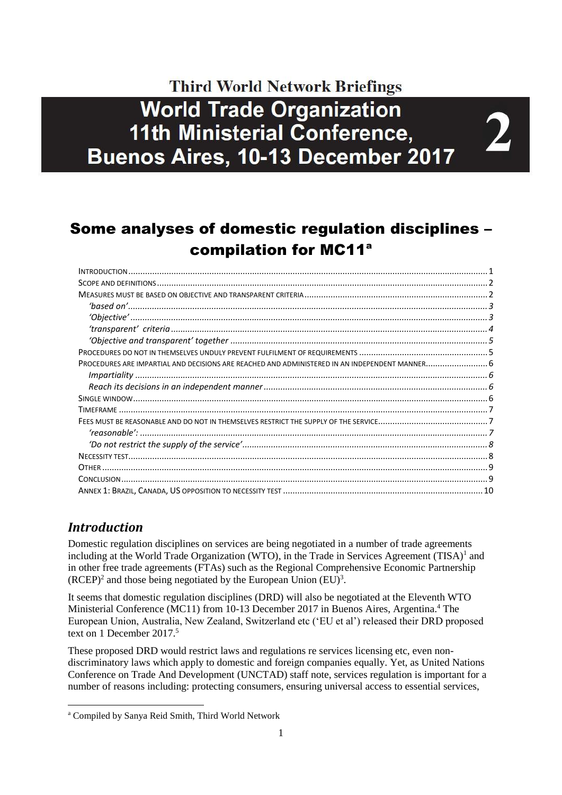# **Third World Network Briefings World Trade Organization 11th Ministerial Conference,** Buenos Aires, 10-13 December 2017

 $\mathbf{2}^-$ 

# Some analyses of domestic regulation disciplines – compilation for MC11<sup>a</sup>

# <span id="page-0-0"></span>*Introduction*

1

Domestic regulation disciplines on services are being negotiated in a number of trade agreements including at the World Trade Organization (WTO), in the Trade in Services Agreement  $(TISA)^{1}$  and in other free trade agreements (FTAs) such as the Regional Comprehensive Economic Partnership  $(RCEP)^2$  and those being negotiated by the European Union  $(EU)^3$ .

It seems that domestic regulation disciplines (DRD) will also be negotiated at the Eleventh WTO Ministerial Conference (MC11) from 10-13 December 2017 in Buenos Aires, Argentina.<sup>4</sup> The European Union, Australia, New Zealand, Switzerland etc ('EU et al') released their DRD proposed text on 1 December 2017.<sup>5</sup>

These proposed DRD would restrict laws and regulations re services licensing etc, even nondiscriminatory laws which apply to domestic and foreign companies equally. Yet, as United Nations Conference on Trade And Development (UNCTAD) staff note, services regulation is important for a number of reasons including: protecting consumers, ensuring universal access to essential services,

<sup>a</sup> Compiled by Sanya Reid Smith, Third World Network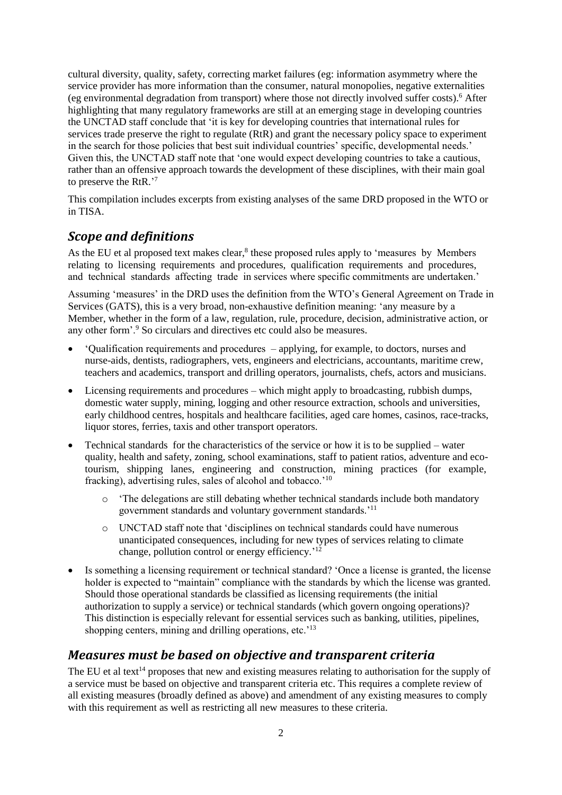cultural diversity, quality, safety, correcting market failures (eg: information asymmetry where the service provider has more information than the consumer, natural monopolies, negative externalities (eg environmental degradation from transport) where those not directly involved suffer costs).<sup>6</sup> After highlighting that many regulatory frameworks are still at an emerging stage in developing countries the UNCTAD staff conclude that 'it is key for developing countries that international rules for services trade preserve the right to regulate (RtR) and grant the necessary policy space to experiment in the search for those policies that best suit individual countries' specific, developmental needs.' Given this, the UNCTAD staff note that 'one would expect developing countries to take a cautious, rather than an offensive approach towards the development of these disciplines, with their main goal to preserve the RtR.' 7

This compilation includes excerpts from existing analyses of the same DRD proposed in the WTO or in TISA.

# <span id="page-1-0"></span>*Scope and definitions*

As the EU et al proposed text makes clear,<sup>8</sup> these proposed rules apply to 'measures by Members relating to licensing requirements and procedures, qualification requirements and procedures, and technical standards affecting trade in services where specific commitments are undertaken.'

Assuming 'measures' in the DRD uses the definition from the WTO's General Agreement on Trade in Services (GATS), this is a very broad, non-exhaustive definition meaning: 'any measure by a Member, whether in the form of a law, regulation, rule, procedure, decision, administrative action, or any other form'.<sup>9</sup> So circulars and directives etc could also be measures.

- 'Qualification requirements and procedures applying, for example, to doctors, nurses and nurse-aids, dentists, radiographers, vets, engineers and electricians, accountants, maritime crew, teachers and academics, transport and drilling operators, journalists, chefs, actors and musicians.
- Licensing requirements and procedures which might apply to broadcasting, rubbish dumps, domestic water supply, mining, logging and other resource extraction, schools and universities, early childhood centres, hospitals and healthcare facilities, aged care homes, casinos, race-tracks, liquor stores, ferries, taxis and other transport operators.
- Technical standards for the characteristics of the service or how it is to be supplied water quality, health and safety, zoning, school examinations, staff to patient ratios, adventure and ecotourism, shipping lanes, engineering and construction, mining practices (for example, fracking), advertising rules, sales of alcohol and tobacco.'<sup>10</sup>
	- o 'The delegations are still debating whether technical standards include both mandatory government standards and voluntary government standards.'<sup>11</sup>
	- o UNCTAD staff note that 'disciplines on technical standards could have numerous unanticipated consequences, including for new types of services relating to climate change, pollution control or energy efficiency.'<sup>12</sup>
- Is something a licensing requirement or technical standard? 'Once a license is granted, the license holder is expected to "maintain" compliance with the standards by which the license was granted. Should those operational standards be classified as licensing requirements (the initial authorization to supply a service) or technical standards (which govern ongoing operations)? This distinction is especially relevant for essential services such as banking, utilities, pipelines, shopping centers, mining and drilling operations, etc.<sup>'13</sup>

# <span id="page-1-1"></span>*Measures must be based on objective and transparent criteria*

The EU et al text<sup>14</sup> proposes that new and existing measures relating to authorisation for the supply of a service must be based on objective and transparent criteria etc. This requires a complete review of all existing measures (broadly defined as above) and amendment of any existing measures to comply with this requirement as well as restricting all new measures to these criteria.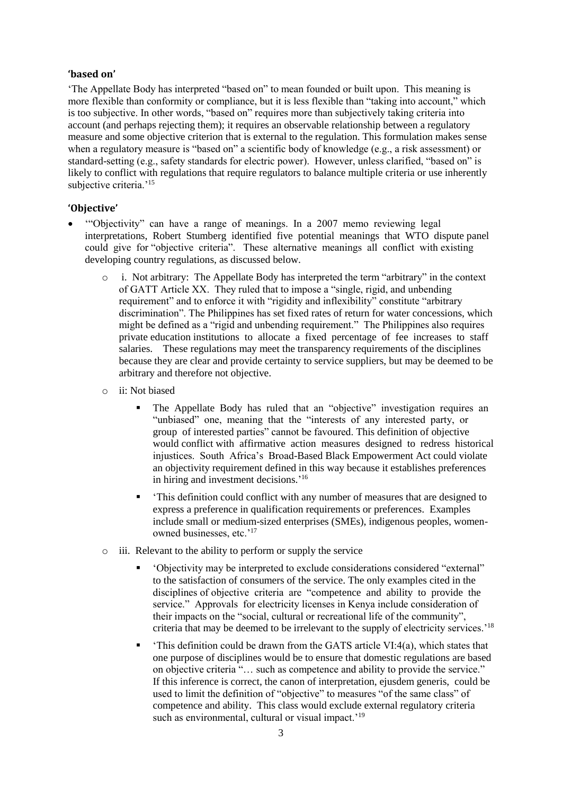#### <span id="page-2-0"></span>**'based on'**

'The Appellate Body has interpreted "based on" to mean founded or built upon. This meaning is more flexible than conformity or compliance, but it is less flexible than "taking into account," which is too subjective. In other words, "based on" requires more than subjectively taking criteria into account (and perhaps rejecting them); it requires an observable relationship between a regulatory measure and some objective criterion that is external to the regulation. This formulation makes sense when a regulatory measure is "based on" a scientific body of knowledge (e.g., a risk assessment) or standard-setting (e.g., safety standards for electric power). However, unless clarified, "based on" is likely to conflict with regulations that require regulators to balance multiple criteria or use inherently subjective criteria.'<sup>15</sup>

#### <span id="page-2-1"></span>**'Objective'**

- '"Objectivity" can have a range of meanings. In a 2007 memo reviewing legal interpretations, Robert Stumberg identified five potential meanings that WTO dispute panel could give for "objective criteria". These alternative meanings all conflict with existing developing country regulations, as discussed below.
	- o i. Not arbitrary: The Appellate Body has interpreted the term "arbitrary" in the context of GATT Article XX. They ruled that to impose a "single, rigid, and unbending requirement" and to enforce it with "rigidity and inflexibility" constitute "arbitrary discrimination". The Philippines has set fixed rates of return for water concessions, which might be defined as a "rigid and unbending requirement." The Philippines also requires private education institutions to allocate a fixed percentage of fee increases to staff salaries. These regulations may meet the transparency requirements of the disciplines because they are clear and provide certainty to service suppliers, but may be deemed to be arbitrary and therefore not objective.
	- o ii: Not biased
		- The Appellate Body has ruled that an "objective" investigation requires an "unbiased" one, meaning that the "interests of any interested party, or group of interested parties" cannot be favoured. This definition of objective would conflict with affirmative action measures designed to redress historical injustices. South Africa's Broad-Based Black Empowerment Act could violate an objectivity requirement defined in this way because it establishes preferences in hiring and investment decisions.' 16
		- 'This definition could conflict with any number of measures that are designed to express a preference in qualification requirements or preferences. Examples include small or medium-sized enterprises (SMEs), indigenous peoples, womenowned businesses, etc.'<sup>17</sup>
	- o iii. Relevant to the ability to perform or supply the service
		- 'Objectivity may be interpreted to exclude considerations considered "external" to the satisfaction of consumers of the service. The only examples cited in the disciplines of objective criteria are "competence and ability to provide the service." Approvals for electricity licenses in Kenya include consideration of their impacts on the "social, cultural or recreational life of the community", criteria that may be deemed to be irrelevant to the supply of electricity services.'<sup>18</sup>
		- 'This definition could be drawn from the GATS article  $VI:4(a)$ , which states that one purpose of disciplines would be to ensure that domestic regulations are based on objective criteria "… such as competence and ability to provide the service." If this inference is correct, the canon of interpretation, ejusdem generis, could be used to limit the definition of "objective" to measures "of the same class" of competence and ability. This class would exclude external regulatory criteria such as environmental, cultural or visual impact.<sup>'19</sup>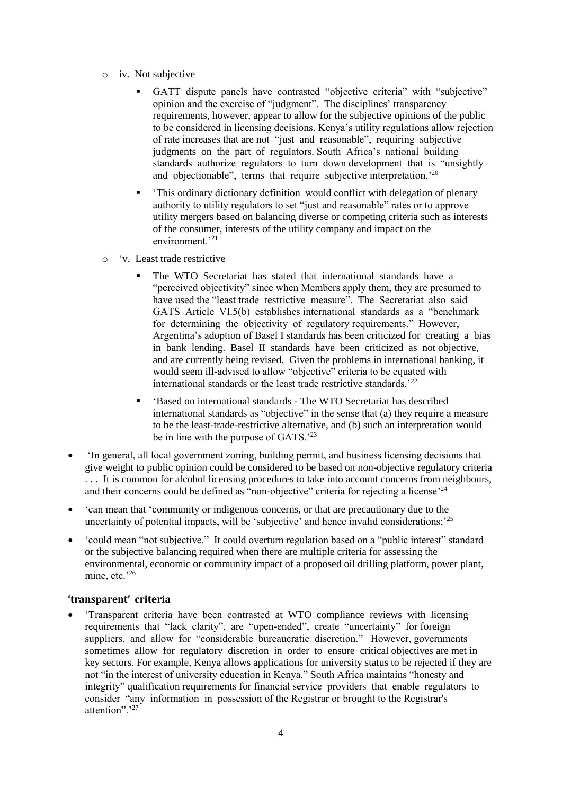- o iv. Not subjective
	- GATT dispute panels have contrasted "objective criteria" with "subjective" opinion and the exercise of "judgment". The disciplines' transparency requirements, however, appear to allow for the subjective opinions of the public to be considered in licensing decisions. Kenya's utility regulations allow rejection of rate increases that are not "just and reasonable", requiring subjective judgments on the part of regulators. South Africa's national building standards authorize regulators to turn down development that is "unsightly and objectionable", terms that require subjective interpretation.<sup>'20</sup>
	- 'This ordinary dictionary definition would conflict with delegation of plenary authority to utility regulators to set "just and reasonable" rates or to approve utility mergers based on balancing diverse or competing criteria such as interests of the consumer, interests of the utility company and impact on the environment.'<sup>21</sup>
- o 'v. Least trade restrictive
	- The WTO Secretariat has stated that international standards have a "perceived objectivity" since when Members apply them, they are presumed to have used the "least trade restrictive measure". The Secretariat also said GATS Article VI.5(b) establishes international standards as a "benchmark for determining the objectivity of regulatory requirements." However, Argentina's adoption of Basel I standards has been criticized for creating a bias in bank lending. Basel II standards have been criticized as not objective, and are currently being revised. Given the problems in international banking, it would seem ill-advised to allow "objective" criteria to be equated with international standards or the least trade restrictive standards.'<sup>22</sup>
	- 'Based on international standards The WTO Secretariat has described international standards as "objective" in the sense that (a) they require a measure to be the least-trade-restrictive alternative, and (b) such an interpretation would be in line with the purpose of GATS.<sup>23</sup>
- 'In general, all local government zoning, building permit, and business licensing decisions that give weight to public opinion could be considered to be based on non-objective regulatory criteria . . . It is common for alcohol licensing procedures to take into account concerns from neighbours, and their concerns could be defined as "non-objective" criteria for rejecting a license'<sup>24</sup>
- 'can mean that 'community or indigenous concerns, or that are precautionary due to the uncertainty of potential impacts, will be 'subjective' and hence invalid considerations;'<sup>25</sup>
- 'could mean "not subjective." It could overturn regulation based on a "public interest" standard or the subjective balancing required when there are multiple criteria for assessing the environmental, economic or community impact of a proposed oil drilling platform, power plant, mine, etc.'26

#### <span id="page-3-0"></span>**'transparent' criteria**

• 'Transparent criteria have been contrasted at WTO compliance reviews with licensing requirements that "lack clarity", are "open-ended", create "uncertainty" for foreign suppliers, and allow for "considerable bureaucratic discretion." However, governments sometimes allow for regulatory discretion in order to ensure critical objectives are met in key sectors. For example, Kenya allows applications for university status to be rejected if they are not "in the interest of university education in Kenya." South Africa maintains "honesty and integrity" qualification requirements for financial service providers that enable regulators to consider "any information in possession of the Registrar or brought to the Registrar's attention".' 27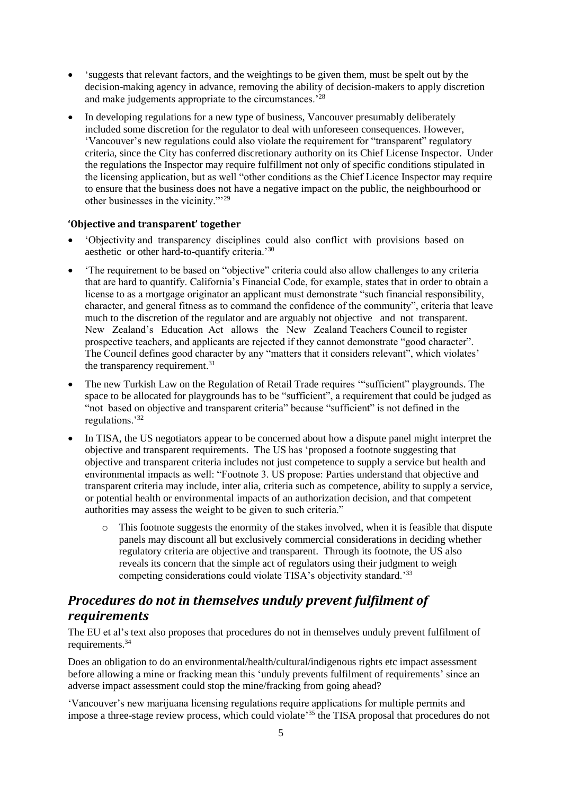- 'suggests that relevant factors, and the weightings to be given them, must be spelt out by the decision-making agency in advance, removing the ability of decision-makers to apply discretion and make judgements appropriate to the circumstances.'<sup>28</sup>
- In developing regulations for a new type of business, Vancouver presumably deliberately included some discretion for the regulator to deal with unforeseen consequences. However, 'Vancouver's new regulations could also violate the requirement for "transparent" regulatory criteria, since the City has conferred discretionary authority on its Chief License Inspector. Under the regulations the Inspector may require fulfillment not only of specific conditions stipulated in the licensing application, but as well "other conditions as the Chief Licence Inspector may require to ensure that the business does not have a negative impact on the public, the neighbourhood or other businesses in the vicinity."'<sup>29</sup>

#### <span id="page-4-0"></span>**'Objective and transparent' together**

- 'Objectivity and transparency disciplines could also conflict with provisions based on aesthetic or other hard-to-quantify criteria.'<sup>30</sup>
- The requirement to be based on "objective" criteria could also allow challenges to any criteria that are hard to quantify. California's Financial Code, for example, states that in order to obtain a license to as a mortgage originator an applicant must demonstrate "such financial responsibility, character, and general fitness as to command the confidence of the community", criteria that leave much to the discretion of the regulator and are arguably not objective and not transparent. New Zealand's Education Act allows the New Zealand Teachers Council to register prospective teachers, and applicants are rejected if they cannot demonstrate "good character". The Council defines good character by any "matters that it considers relevant", which violates' the transparency requirement.<sup>31</sup>
- The new Turkish Law on the Regulation of Retail Trade requires '"sufficient" playgrounds. The space to be allocated for playgrounds has to be "sufficient", a requirement that could be judged as "not based on objective and transparent criteria" because "sufficient" is not defined in the regulations.'<sup>32</sup>
- In TISA, the US negotiators appear to be concerned about how a dispute panel might interpret the objective and transparent requirements. The US has 'proposed a footnote suggesting that objective and transparent criteria includes not just competence to supply a service but health and environmental impacts as well: "Footnote 3. US propose: Parties understand that objective and transparent criteria may include, inter alia, criteria such as competence, ability to supply a service, or potential health or environmental impacts of an authorization decision, and that competent authorities may assess the weight to be given to such criteria."
	- o This footnote suggests the enormity of the stakes involved, when it is feasible that dispute panels may discount all but exclusively commercial considerations in deciding whether regulatory criteria are objective and transparent. Through its footnote, the US also reveals its concern that the simple act of regulators using their judgment to weigh competing considerations could violate TISA's objectivity standard.'33

# <span id="page-4-1"></span>*Procedures do not in themselves unduly prevent fulfilment of requirements*

The EU et al's text also proposes that procedures do not in themselves unduly prevent fulfilment of requirements.<sup>34</sup>

Does an obligation to do an environmental/health/cultural/indigenous rights etc impact assessment before allowing a mine or fracking mean this 'unduly prevents fulfilment of requirements' since an adverse impact assessment could stop the mine/fracking from going ahead?

'Vancouver's new marijuana licensing regulations require applications for multiple permits and impose a three-stage review process, which could violate<sup>35</sup> the TISA proposal that procedures do not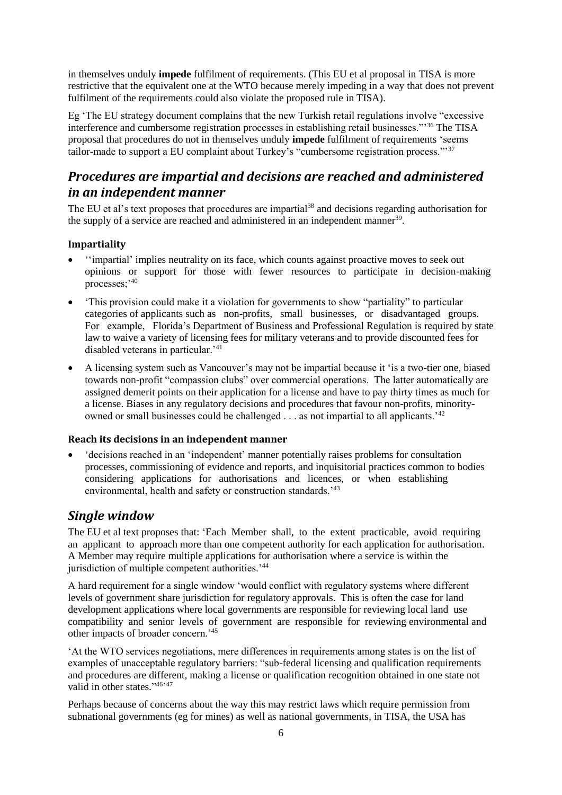in themselves unduly **impede** fulfilment of requirements. (This EU et al proposal in TISA is more restrictive that the equivalent one at the WTO because merely impeding in a way that does not prevent fulfilment of the requirements could also violate the proposed rule in TISA).

Eg 'The EU strategy document complains that the new Turkish retail regulations involve "excessive interference and cumbersome registration processes in establishing retail businesses."' <sup>36</sup> The TISA proposal that procedures do not in themselves unduly **impede** fulfilment of requirements 'seems tailor-made to support a EU complaint about Turkey's "cumbersome registration process."'<sup>37</sup>

# <span id="page-5-0"></span>*Procedures are impartial and decisions are reached and administered in an independent manner*

The EU et al's text proposes that procedures are impartial<sup>38</sup> and decisions regarding authorisation for the supply of a service are reached and administered in an independent manner<sup>39</sup>.

### <span id="page-5-1"></span>**Impartiality**

- ''impartial' implies neutrality on its face, which counts against proactive moves to seek out opinions or support for those with fewer resources to participate in decision-making processes;'<sup>40</sup>
- This provision could make it a violation for governments to show "partiality" to particular categories of applicants such as non-profits, small businesses, or disadvantaged groups. For example, Florida's Department of Business and Professional Regulation is required by state law to waive a variety of licensing fees for military veterans and to provide discounted fees for disabled veterans in particular.<sup>41</sup>
- A licensing system such as Vancouver's may not be impartial because it 'is a two-tier one, biased towards non-profit "compassion clubs" over commercial operations. The latter automatically are assigned demerit points on their application for a license and have to pay thirty times as much for a license. Biases in any regulatory decisions and procedures that favour non-profits, minorityowned or small businesses could be challenged . . . as not impartial to all applicants.'<sup>42</sup>

#### <span id="page-5-2"></span>**Reach its decisions in an independent manner**

• 'decisions reached in an 'independent' manner potentially raises problems for consultation processes, commissioning of evidence and reports, and inquisitorial practices common to bodies considering applications for authorisations and licences, or when establishing environmental, health and safety or construction standards.'<sup>43</sup>

## <span id="page-5-3"></span>*Single window*

The EU et al text proposes that: 'Each Member shall, to the extent practicable, avoid requiring an applicant to approach more than one competent authority for each application for authorisation. A Member may require multiple applications for authorisation where a service is within the jurisdiction of multiple competent authorities.<sup>'44</sup>

A hard requirement for a single window 'would conflict with regulatory systems where different levels of government share jurisdiction for regulatory approvals. This is often the case for land development applications where local governments are responsible for reviewing local land use compatibility and senior levels of government are responsible for reviewing environmental and other impacts of broader concern.'<sup>45</sup>

'At the WTO services negotiations, mere differences in requirements among states is on the list of examples of unacceptable regulatory barriers: "sub-federal licensing and qualification requirements and procedures are different, making a license or qualification recognition obtained in one state not valid in other states."46,47

Perhaps because of concerns about the way this may restrict laws which require permission from subnational governments (eg for mines) as well as national governments, in TISA, the USA has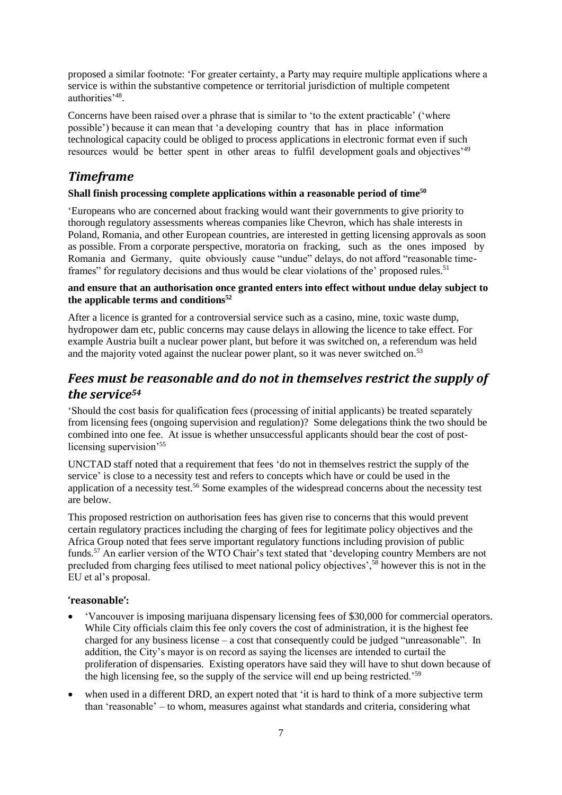proposed a similar footnote: 'For greater certainty, a Party may require multiple applications where a service is within the substantive competence or territorial jurisdiction of multiple competent authorities'<sup>48</sup> .

Concerns have been raised over a phrase that is similar to 'to the extent practicable' ('where possible') because it can mean that 'a developing country that has in place information technological capacity could be obliged to process applications in electronic format even if such resources would be better spent in other areas to fulfil development goals and objectives<sup>'49</sup>

# <span id="page-6-0"></span>*Timeframe*

#### **Shall finish processing complete applications within a reasonable period of time<sup>50</sup>**

'Europeans who are concerned about fracking would want their governments to give priority to thorough regulatory assessments whereas companies like Chevron, which has shale interests in Poland, Romania, and other European countries, are interested in getting licensing approvals as soon as possible. From a corporate perspective, moratoria on fracking, such as the ones imposed by Romania and Germany, quite obviously cause "undue" delays, do not afford "reasonable timeframes" for regulatory decisions and thus would be clear violations of the' proposed rules.<sup>51</sup>

#### **and ensure that an authorisation once granted enters into effect without undue delay subject to the applicable terms and conditions<sup>52</sup>**

After a licence is granted for a controversial service such as a casino, mine, toxic waste dump, hydropower dam etc, public concerns may cause delays in allowing the licence to take effect. For example Austria built a nuclear power plant, but before it was switched on, a referendum was held and the majority voted against the nuclear power plant, so it was never switched on.<sup>53</sup>

# <span id="page-6-1"></span>*Fees must be reasonable and do not in themselves restrict the supply of the service<sup>54</sup>*

'Should the cost basis for qualification fees (processing of initial applicants) be treated separately from licensing fees (ongoing supervision and regulation)? Some delegations think the two should be combined into one fee. At issue is whether unsuccessful applicants should bear the cost of postlicensing supervision<sup>'55</sup>

UNCTAD staff noted that a requirement that fees 'do not in themselves restrict the supply of the service' is close to a necessity test and refers to concepts which have or could be used in the application of a necessity test.<sup>56</sup> Some examples of the widespread concerns about the necessity test are below.

This proposed restriction on authorisation fees has given rise to concerns that this would prevent certain regulatory practices including the charging of fees for legitimate policy objectives and the Africa Group noted that fees serve important regulatory functions including provision of public funds.<sup>57</sup> An earlier version of the WTO Chair's text stated that 'developing country Members are not precluded from charging fees utilised to meet national policy objectives',<sup>58</sup> however this is not in the EU et al's proposal.

#### <span id="page-6-2"></span>**'reasonable':**

- 'Vancouver is imposing marijuana dispensary licensing fees of \$30,000 for commercial operators. While City officials claim this fee only covers the cost of administration, it is the highest fee charged for any business license – a cost that consequently could be judged "unreasonable". In addition, the City's mayor is on record as saying the licenses are intended to curtail the proliferation of dispensaries. Existing operators have said they will have to shut down because of the high licensing fee, so the supply of the service will end up being restricted.'<sup>59</sup>
- when used in a different DRD, an expert noted that 'it is hard to think of a more subjective term than 'reasonable' – to whom, measures against what standards and criteria, considering what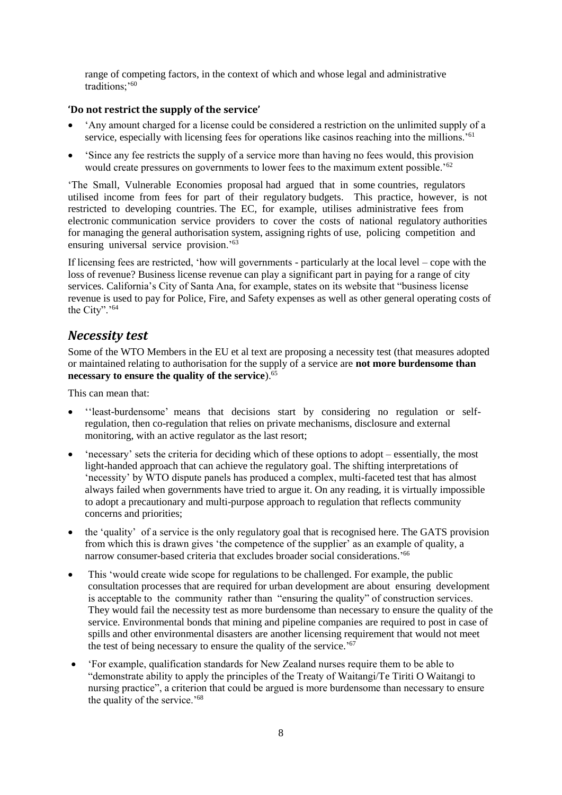range of competing factors, in the context of which and whose legal and administrative traditions:<sup>'60</sup>

#### <span id="page-7-0"></span>**'Do not restrict the supply of the service'**

- 'Any amount charged for a license could be considered a restriction on the unlimited supply of a service, especially with licensing fees for operations like casinos reaching into the millions.<sup>'61</sup>
- 'Since any fee restricts the supply of a service more than having no fees would, this provision would create pressures on governments to lower fees to the maximum extent possible.'<sup>62</sup>

'The Small, Vulnerable Economies proposal had argued that in some countries, regulators utilised income from fees for part of their regulatory budgets. This practice, however, is not restricted to developing countries. The EC, for example, utilises administrative fees from electronic communication service providers to cover the costs of national regulatory authorities for managing the general authorisation system, assigning rights of use, policing competition and ensuring universal service provision.'<sup>63</sup>

If licensing fees are restricted, 'how will governments - particularly at the local level – cope with the loss of revenue? Business license revenue can play a significant part in paying for a range of city services. California's City of Santa Ana, for example, states on its website that "business license revenue is used to pay for Police, Fire, and Safety expenses as well as other general operating costs of the City".'<sup>64</sup>

## <span id="page-7-1"></span>*Necessity test*

Some of the WTO Members in the EU et al text are proposing a necessity test (that measures adopted or maintained relating to authorisation for the supply of a service are **not more burdensome than necessary to ensure the quality of the service**).<sup>65</sup>

This can mean that:

- ''least-burdensome' means that decisions start by considering no regulation or selfregulation, then co-regulation that relies on private mechanisms, disclosure and external monitoring, with an active regulator as the last resort;
- 'necessary' sets the criteria for deciding which of these options to adopt essentially, the most light-handed approach that can achieve the regulatory goal. The shifting interpretations of 'necessity' by WTO dispute panels has produced a complex, multi-faceted test that has almost always failed when governments have tried to argue it. On any reading, it is virtually impossible to adopt a precautionary and multi-purpose approach to regulation that reflects community concerns and priorities;
- the 'quality' of a service is the only regulatory goal that is recognised here. The GATS provision from which this is drawn gives 'the competence of the supplier' as an example of quality, a narrow consumer-based criteria that excludes broader social considerations.'<sup>66</sup>
- This 'would create wide scope for regulations to be challenged. For example, the public consultation processes that are required for urban development are about ensuring development is acceptable to the community rather than "ensuring the quality" of construction services. They would fail the necessity test as more burdensome than necessary to ensure the quality of the service. Environmental bonds that mining and pipeline companies are required to post in case of spills and other environmental disasters are another licensing requirement that would not meet the test of being necessary to ensure the quality of the service.' 67
- 'For example, qualification standards for New Zealand nurses require them to be able to "demonstrate ability to apply the principles of the Treaty of Waitangi/Te Tiriti O Waitangi to nursing practice", a criterion that could be argued is more burdensome than necessary to ensure the quality of the service.'68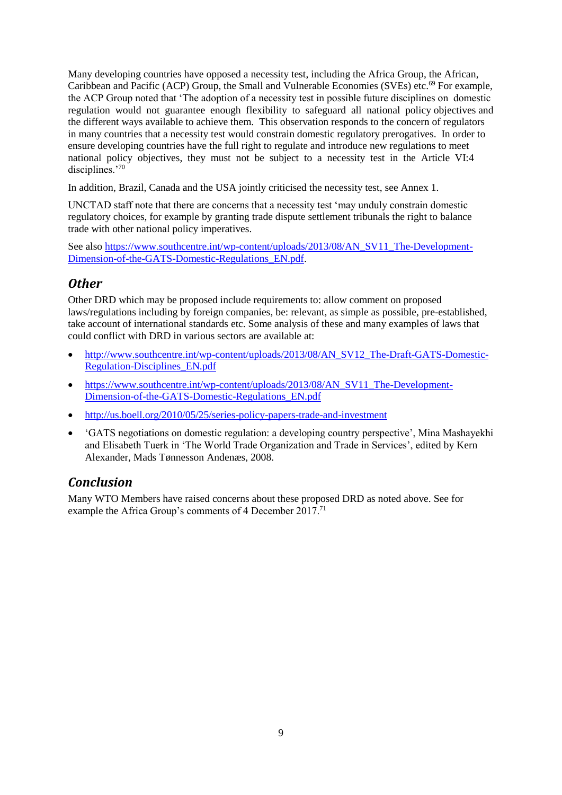Many developing countries have opposed a necessity test, including the Africa Group, the African, Caribbean and Pacific (ACP) Group, the Small and Vulnerable Economies (SVEs) etc.<sup>69</sup> For example, the ACP Group noted that 'The adoption of a necessity test in possible future disciplines on domestic regulation would not guarantee enough flexibility to safeguard all national policy objectives and the different ways available to achieve them. This observation responds to the concern of regulators in many countries that a necessity test would constrain domestic regulatory prerogatives. In order to ensure developing countries have the full right to regulate and introduce new regulations to meet national policy objectives, they must not be subject to a necessity test in the Article VI:4 disciplines.'70

In addition, Brazil, Canada and the USA jointly criticised the necessity test, see Annex 1.

UNCTAD staff note that there are concerns that a necessity test 'may unduly constrain domestic regulatory choices, for example by granting trade dispute settlement tribunals the right to balance trade with other national policy imperatives.

See also [https://www.southcentre.int/wp-content/uploads/2013/08/AN\\_SV11\\_The-Development-](https://www.southcentre.int/wp-content/uploads/2013/08/AN_SV11_The-Development-Dimension-of-the-GATS-Domestic-Regulations_EN.pdf)[Dimension-of-the-GATS-Domestic-Regulations\\_EN.pdf.](https://www.southcentre.int/wp-content/uploads/2013/08/AN_SV11_The-Development-Dimension-of-the-GATS-Domestic-Regulations_EN.pdf)

## <span id="page-8-0"></span>*Other*

Other DRD which may be proposed include requirements to: allow comment on proposed laws/regulations including by foreign companies, be: relevant, as simple as possible, pre-established, take account of international standards etc. Some analysis of these and many examples of laws that could conflict with DRD in various sectors are available at:

- [http://www.southcentre.int/wp-content/uploads/2013/08/AN\\_SV12\\_The-Draft-GATS-Domestic-](http://www.southcentre.int/wp-content/uploads/2013/08/AN_SV12_The-Draft-GATS-Domestic-Regulation-Disciplines_EN.pdf)[Regulation-Disciplines\\_EN.pdf](http://www.southcentre.int/wp-content/uploads/2013/08/AN_SV12_The-Draft-GATS-Domestic-Regulation-Disciplines_EN.pdf)
- [https://www.southcentre.int/wp-content/uploads/2013/08/AN\\_SV11\\_The-Development-](https://www.southcentre.int/wp-content/uploads/2013/08/AN_SV11_The-Development-Dimension-of-the-GATS-Domestic-Regulations_EN.pdf)[Dimension-of-the-GATS-Domestic-Regulations\\_EN.pdf](https://www.southcentre.int/wp-content/uploads/2013/08/AN_SV11_The-Development-Dimension-of-the-GATS-Domestic-Regulations_EN.pdf)
- <http://us.boell.org/2010/05/25/series-policy-papers-trade-and-investment>
- 'GATS negotiations on domestic regulation: a developing country perspective', Mina Mashayekhi and Elisabeth Tuerk in 'The World Trade Organization and Trade in Services', edited by Kern Alexander, Mads Tønnesson Andenæs, 2008.

# <span id="page-8-1"></span>*Conclusion*

Many WTO Members have raised concerns about these proposed DRD as noted above. See for example the Africa Group's comments of 4 December 2017.<sup>71</sup>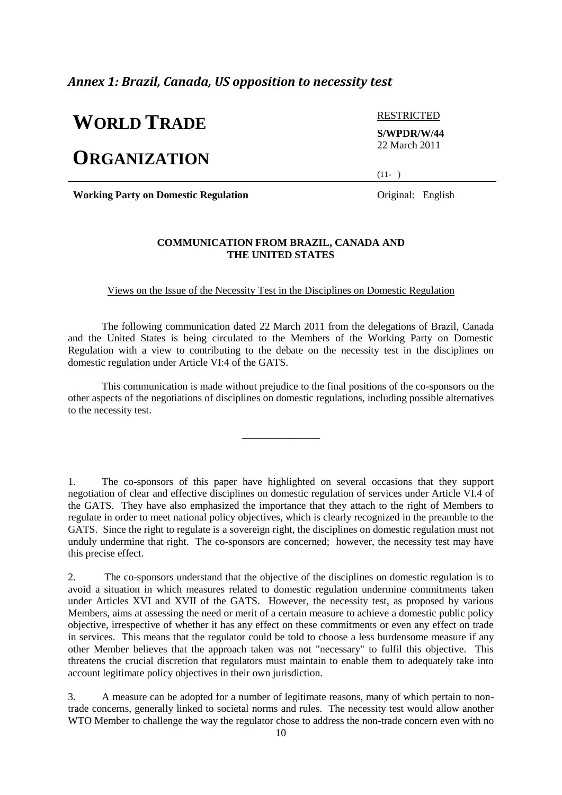### <span id="page-9-0"></span>*Annex 1: Brazil, Canada, US opposition to necessity test*

# **WORLD TRADE**

# **ORGANIZATION**

RESTRICTED **S/WPDR/W/44** 22 March 2011

 $(11- )$ 

**Working Party on Domestic Regulation** Original: English

#### **COMMUNICATION FROM BRAZIL, CANADA AND THE UNITED STATES**

Views on the Issue of the Necessity Test in the Disciplines on Domestic Regulation

The following communication dated 22 March 2011 from the delegations of Brazil, Canada and the United States is being circulated to the Members of the Working Party on Domestic Regulation with a view to contributing to the debate on the necessity test in the disciplines on domestic regulation under Article VI:4 of the GATS.

This communication is made without prejudice to the final positions of the co-sponsors on the other aspects of the negotiations of disciplines on domestic regulations, including possible alternatives to the necessity test.

**\_\_\_\_\_\_\_\_\_\_\_\_\_\_\_**

1. The co-sponsors of this paper have highlighted on several occasions that they support negotiation of clear and effective disciplines on domestic regulation of services under Article VI.4 of the GATS. They have also emphasized the importance that they attach to the right of Members to regulate in order to meet national policy objectives, which is clearly recognized in the preamble to the GATS. Since the right to regulate is a sovereign right, the disciplines on domestic regulation must not unduly undermine that right. The co-sponsors are concerned; however, the necessity test may have this precise effect.

2. The co-sponsors understand that the objective of the disciplines on domestic regulation is to avoid a situation in which measures related to domestic regulation undermine commitments taken under Articles XVI and XVII of the GATS. However, the necessity test, as proposed by various Members, aims at assessing the need or merit of a certain measure to achieve a domestic public policy objective, irrespective of whether it has any effect on these commitments or even any effect on trade in services. This means that the regulator could be told to choose a less burdensome measure if any other Member believes that the approach taken was not "necessary" to fulfil this objective. This threatens the crucial discretion that regulators must maintain to enable them to adequately take into account legitimate policy objectives in their own jurisdiction.

3. A measure can be adopted for a number of legitimate reasons, many of which pertain to nontrade concerns, generally linked to societal norms and rules. The necessity test would allow another WTO Member to challenge the way the regulator chose to address the non-trade concern even with no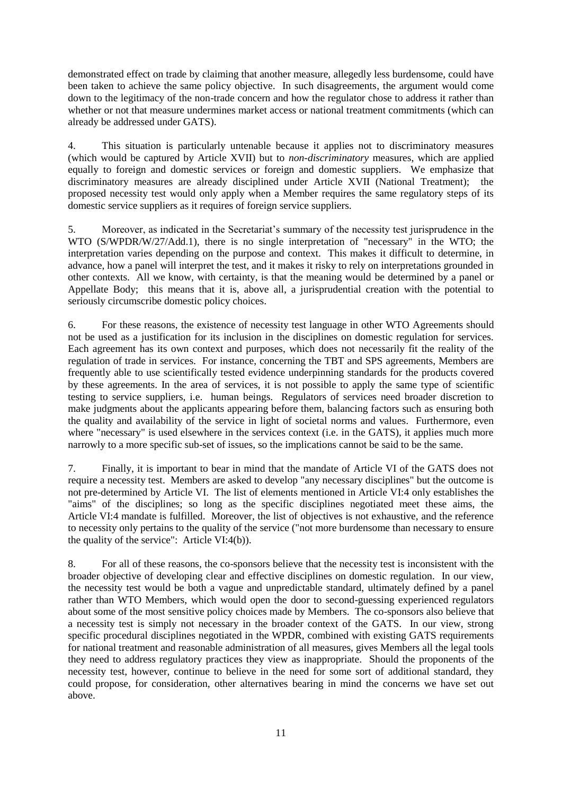demonstrated effect on trade by claiming that another measure, allegedly less burdensome, could have been taken to achieve the same policy objective. In such disagreements, the argument would come down to the legitimacy of the non-trade concern and how the regulator chose to address it rather than whether or not that measure undermines market access or national treatment commitments (which can already be addressed under GATS).

4. This situation is particularly untenable because it applies not to discriminatory measures (which would be captured by Article XVII) but to *non-discriminatory* measures, which are applied equally to foreign and domestic services or foreign and domestic suppliers. We emphasize that discriminatory measures are already disciplined under Article XVII (National Treatment); the proposed necessity test would only apply when a Member requires the same regulatory steps of its domestic service suppliers as it requires of foreign service suppliers.

5. Moreover, as indicated in the Secretariat's summary of the necessity test jurisprudence in the WTO (S/WPDR/W/27/Add.1), there is no single interpretation of "necessary" in the WTO; the interpretation varies depending on the purpose and context. This makes it difficult to determine, in advance, how a panel will interpret the test, and it makes it risky to rely on interpretations grounded in other contexts. All we know, with certainty, is that the meaning would be determined by a panel or Appellate Body; this means that it is, above all, a jurisprudential creation with the potential to seriously circumscribe domestic policy choices.

6. For these reasons, the existence of necessity test language in other WTO Agreements should not be used as a justification for its inclusion in the disciplines on domestic regulation for services. Each agreement has its own context and purposes, which does not necessarily fit the reality of the regulation of trade in services. For instance, concerning the TBT and SPS agreements, Members are frequently able to use scientifically tested evidence underpinning standards for the products covered by these agreements. In the area of services, it is not possible to apply the same type of scientific testing to service suppliers, i.e. human beings. Regulators of services need broader discretion to make judgments about the applicants appearing before them, balancing factors such as ensuring both the quality and availability of the service in light of societal norms and values. Furthermore, even where "necessary" is used elsewhere in the services context (i.e. in the GATS), it applies much more narrowly to a more specific sub-set of issues, so the implications cannot be said to be the same.

7. Finally, it is important to bear in mind that the mandate of Article VI of the GATS does not require a necessity test. Members are asked to develop "any necessary disciplines" but the outcome is not pre-determined by Article VI. The list of elements mentioned in Article VI:4 only establishes the "aims" of the disciplines; so long as the specific disciplines negotiated meet these aims, the Article VI:4 mandate is fulfilled. Moreover, the list of objectives is not exhaustive, and the reference to necessity only pertains to the quality of the service ("not more burdensome than necessary to ensure the quality of the service": Article VI:4(b)).

8. For all of these reasons, the co-sponsors believe that the necessity test is inconsistent with the broader objective of developing clear and effective disciplines on domestic regulation. In our view, the necessity test would be both a vague and unpredictable standard, ultimately defined by a panel rather than WTO Members, which would open the door to second-guessing experienced regulators about some of the most sensitive policy choices made by Members. The co-sponsors also believe that a necessity test is simply not necessary in the broader context of the GATS. In our view, strong specific procedural disciplines negotiated in the WPDR, combined with existing GATS requirements for national treatment and reasonable administration of all measures, gives Members all the legal tools they need to address regulatory practices they view as inappropriate. Should the proponents of the necessity test, however, continue to believe in the need for some sort of additional standard, they could propose, for consideration, other alternatives bearing in mind the concerns we have set out above.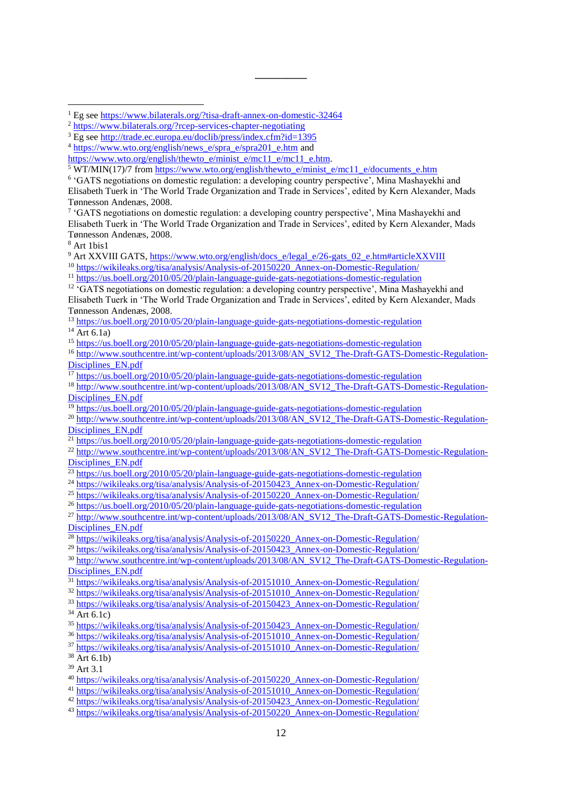**\_\_\_\_\_\_\_\_\_\_**

<sup>7</sup> 'GATS negotiations on domestic regulation: a developing country perspective', Mina Mashayekhi and Elisabeth Tuerk in 'The World Trade Organization and Trade in Services', edited by Kern Alexander, Mads Tønnesson Andenæs, 2008.

<sup>8</sup> Art 1bis1

1

<sup>9</sup> Art XXVIII GATS, [https://www.wto.org/english/docs\\_e/legal\\_e/26-gats\\_02\\_e.htm#articleXXVIII](https://www.wto.org/english/docs_e/legal_e/26-gats_02_e.htm#articleXXVIII)

<sup>11</sup> <https://us.boell.org/2010/05/20/plain-language-guide-gats-negotiations-domestic-regulation>

<sup>12</sup> 'GATS negotiations on domestic regulation: a developing country perspective', Mina Mashayekhi and Elisabeth Tuerk in 'The World Trade Organization and Trade in Services', edited by Kern Alexander, Mads Tønnesson Andenæs, 2008.

<sup>13</sup> <https://us.boell.org/2010/05/20/plain-language-guide-gats-negotiations-domestic-regulation>

 $^{14}$  Art 6.1a)

<sup>15</sup> <https://us.boell.org/2010/05/20/plain-language-guide-gats-negotiations-domestic-regulation>

<sup>16</sup> [http://www.southcentre.int/wp-content/uploads/2013/08/AN\\_SV12\\_The-Draft-GATS-Domestic-Regulation-](http://www.southcentre.int/wp-content/uploads/2013/08/AN_SV12_The-Draft-GATS-Domestic-Regulation-Disciplines_EN.pdf)[Disciplines\\_EN.pdf](http://www.southcentre.int/wp-content/uploads/2013/08/AN_SV12_The-Draft-GATS-Domestic-Regulation-Disciplines_EN.pdf)

<sup>17</sup> <https://us.boell.org/2010/05/20/plain-language-guide-gats-negotiations-domestic-regulation>

<sup>18</sup> [http://www.southcentre.int/wp-content/uploads/2013/08/AN\\_SV12\\_The-Draft-GATS-Domestic-Regulation-](http://www.southcentre.int/wp-content/uploads/2013/08/AN_SV12_The-Draft-GATS-Domestic-Regulation-Disciplines_EN.pdf)[Disciplines\\_EN.pdf](http://www.southcentre.int/wp-content/uploads/2013/08/AN_SV12_The-Draft-GATS-Domestic-Regulation-Disciplines_EN.pdf)

<sup>19</sup> <https://us.boell.org/2010/05/20/plain-language-guide-gats-negotiations-domestic-regulation>

<sup>20</sup> [http://www.southcentre.int/wp-content/uploads/2013/08/AN\\_SV12\\_The-Draft-GATS-Domestic-Regulation-](http://www.southcentre.int/wp-content/uploads/2013/08/AN_SV12_The-Draft-GATS-Domestic-Regulation-Disciplines_EN.pdf)[Disciplines\\_EN.pdf](http://www.southcentre.int/wp-content/uploads/2013/08/AN_SV12_The-Draft-GATS-Domestic-Regulation-Disciplines_EN.pdf)

<sup>21</sup> <https://us.boell.org/2010/05/20/plain-language-guide-gats-negotiations-domestic-regulation>

<sup>22</sup> [http://www.southcentre.int/wp-content/uploads/2013/08/AN\\_SV12\\_The-Draft-GATS-Domestic-Regulation-](http://www.southcentre.int/wp-content/uploads/2013/08/AN_SV12_The-Draft-GATS-Domestic-Regulation-Disciplines_EN.pdf)[Disciplines\\_EN.pdf](http://www.southcentre.int/wp-content/uploads/2013/08/AN_SV12_The-Draft-GATS-Domestic-Regulation-Disciplines_EN.pdf)

 $23$  <https://us.boell.org/2010/05/20/plain-language-guide-gats-negotiations-domestic-regulation>

- <sup>24</sup> [https://wikileaks.org/tisa/analysis/Analysis-of-20150423\\_Annex-on-Domestic-Regulation/](https://wikileaks.org/tisa/analysis/Analysis-of-20150423_Annex-on-Domestic-Regulation/)
- <sup>25</sup> [https://wikileaks.org/tisa/analysis/Analysis-of-20150220\\_Annex-on-Domestic-Regulation/](https://wikileaks.org/tisa/analysis/Analysis-of-20150220_Annex-on-Domestic-Regulation/)

<sup>26</sup> <https://us.boell.org/2010/05/20/plain-language-guide-gats-negotiations-domestic-regulation>

<sup>27</sup> [http://www.southcentre.int/wp-content/uploads/2013/08/AN\\_SV12\\_The-Draft-GATS-Domestic-Regulation-](http://www.southcentre.int/wp-content/uploads/2013/08/AN_SV12_The-Draft-GATS-Domestic-Regulation-Disciplines_EN.pdf)[Disciplines\\_EN.pdf](http://www.southcentre.int/wp-content/uploads/2013/08/AN_SV12_The-Draft-GATS-Domestic-Regulation-Disciplines_EN.pdf)

<sup>28</sup> [https://wikileaks.org/tisa/analysis/Analysis-of-20150220\\_Annex-on-Domestic-Regulation/](https://wikileaks.org/tisa/analysis/Analysis-of-20150220_Annex-on-Domestic-Regulation/)

<sup>29</sup> [https://wikileaks.org/tisa/analysis/Analysis-of-20150423\\_Annex-on-Domestic-Regulation/](https://wikileaks.org/tisa/analysis/Analysis-of-20150423_Annex-on-Domestic-Regulation/)

<sup>30</sup> [http://www.southcentre.int/wp-content/uploads/2013/08/AN\\_SV12\\_The-Draft-GATS-Domestic-Regulation-](http://www.southcentre.int/wp-content/uploads/2013/08/AN_SV12_The-Draft-GATS-Domestic-Regulation-Disciplines_EN.pdf)[Disciplines\\_EN.pdf](http://www.southcentre.int/wp-content/uploads/2013/08/AN_SV12_The-Draft-GATS-Domestic-Regulation-Disciplines_EN.pdf)

<sup>32</sup> [https://wikileaks.org/tisa/analysis/Analysis-of-20151010\\_Annex-on-Domestic-Regulation/](https://wikileaks.org/tisa/analysis/Analysis-of-20151010_Annex-on-Domestic-Regulation/)

<sup>33</sup> [https://wikileaks.org/tisa/analysis/Analysis-of-20150423\\_Annex-on-Domestic-Regulation/](https://wikileaks.org/tisa/analysis/Analysis-of-20150423_Annex-on-Domestic-Regulation/)

 $34$  Art 6.1c)

<sup>35</sup> [https://wikileaks.org/tisa/analysis/Analysis-of-20150423\\_Annex-on-Domestic-Regulation/](https://wikileaks.org/tisa/analysis/Analysis-of-20150423_Annex-on-Domestic-Regulation/)

<sup>36</sup> [https://wikileaks.org/tisa/analysis/Analysis-of-20151010\\_Annex-on-Domestic-Regulation/](https://wikileaks.org/tisa/analysis/Analysis-of-20151010_Annex-on-Domestic-Regulation/)

<sup>37</sup> [https://wikileaks.org/tisa/analysis/Analysis-of-20151010\\_Annex-on-Domestic-Regulation/](https://wikileaks.org/tisa/analysis/Analysis-of-20151010_Annex-on-Domestic-Regulation/)

 $38$  Art 6.1b)

<sup>39</sup> Art 3.1

<sup>40</sup> [https://wikileaks.org/tisa/analysis/Analysis-of-20150220\\_Annex-on-Domestic-Regulation/](https://wikileaks.org/tisa/analysis/Analysis-of-20150220_Annex-on-Domestic-Regulation/)

<sup>41</sup> [https://wikileaks.org/tisa/analysis/Analysis-of-20151010\\_Annex-on-Domestic-Regulation/](https://wikileaks.org/tisa/analysis/Analysis-of-20151010_Annex-on-Domestic-Regulation/)

<sup>&</sup>lt;sup>1</sup> Eg se[e https://www.bilaterals.org/?tisa-draft-annex-on-domestic-32464](https://www.bilaterals.org/?tisa-draft-annex-on-domestic-32464)

<sup>2</sup> <https://www.bilaterals.org/?rcep-services-chapter-negotiating>

<sup>3</sup> Eg se[e http://trade.ec.europa.eu/doclib/press/index.cfm?id=1395](http://trade.ec.europa.eu/doclib/press/index.cfm?id=1395)

<sup>&</sup>lt;sup>4</sup> [https://www.wto.org/english/news\\_e/spra\\_e/spra201\\_e.htm](https://www.wto.org/english/news_e/spra_e/spra201_e.htm) and

[https://www.wto.org/english/thewto\\_e/minist\\_e/mc11\\_e/mc11\\_e.htm.](https://www.wto.org/english/thewto_e/minist_e/mc11_e/mc11_e.htm)

 $\frac{1}{5}$  WT/MIN(17)/7 from [https://www.wto.org/english/thewto\\_e/minist\\_e/mc11\\_e/documents\\_e.htm](https://www.wto.org/english/thewto_e/minist_e/mc11_e/documents_e.htm)

<sup>&</sup>lt;sup>6</sup> 'GATS negotiations on domestic regulation: a developing country perspective', Mina Mashayekhi and Elisabeth Tuerk in 'The World Trade Organization and Trade in Services', edited by Kern Alexander, Mads Tønnesson Andenæs, 2008.

<sup>&</sup>lt;sup>10</sup> [https://wikileaks.org/tisa/analysis/Analysis-of-20150220\\_Annex-on-Domestic-Regulation/](https://wikileaks.org/tisa/analysis/Analysis-of-20150220_Annex-on-Domestic-Regulation/)

<sup>&</sup>lt;sup>31</sup> [https://wikileaks.org/tisa/analysis/Analysis-of-20151010\\_Annex-on-Domestic-Regulation/](https://wikileaks.org/tisa/analysis/Analysis-of-20151010_Annex-on-Domestic-Regulation/)

<sup>42</sup> [https://wikileaks.org/tisa/analysis/Analysis-of-20150423\\_Annex-on-Domestic-Regulation/](https://wikileaks.org/tisa/analysis/Analysis-of-20150423_Annex-on-Domestic-Regulation/) <sup>43</sup> [https://wikileaks.org/tisa/analysis/Analysis-of-20150220\\_Annex-on-Domestic-Regulation/](https://wikileaks.org/tisa/analysis/Analysis-of-20150220_Annex-on-Domestic-Regulation/)